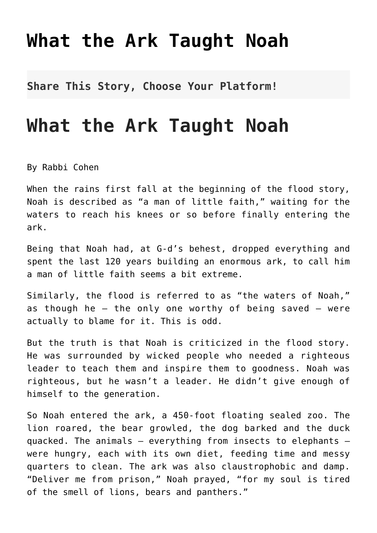## **[What the Ark Taught Noah](http://noahide.org/what-the-ark-taught-noah/)**

**Share This Story, Choose Your Platform!**

## **What the Ark Taught Noah**

By Rabbi Cohen

When the rains first fall at the beginning of the flood story, Noah is described as "a man of little faith," waiting for the waters to reach his knees or so before finally entering the ark.

Being that Noah had, at G-d's behest, dropped everything and spent the last 120 years building an enormous ark, to call him a man of little faith seems a bit extreme.

Similarly, the flood is referred to as "the waters of Noah," as though he  $-$  the only one worthy of being saved  $-$  were actually to blame for it. This is odd.

But the truth is that Noah is criticized in the flood story. He was surrounded by wicked people who needed a righteous leader to teach them and inspire them to goodness. Noah was righteous, but he wasn't a leader. He didn't give enough of himself to the generation.

So Noah entered the ark, a 450-foot floating sealed zoo. The lion roared, the bear growled, the dog barked and the duck quacked. The animals — everything from insects to elephants were hungry, each with its own diet, feeding time and messy quarters to clean. The ark was also claustrophobic and damp. "Deliver me from prison," Noah prayed, "for my soul is tired of the smell of lions, bears and panthers."